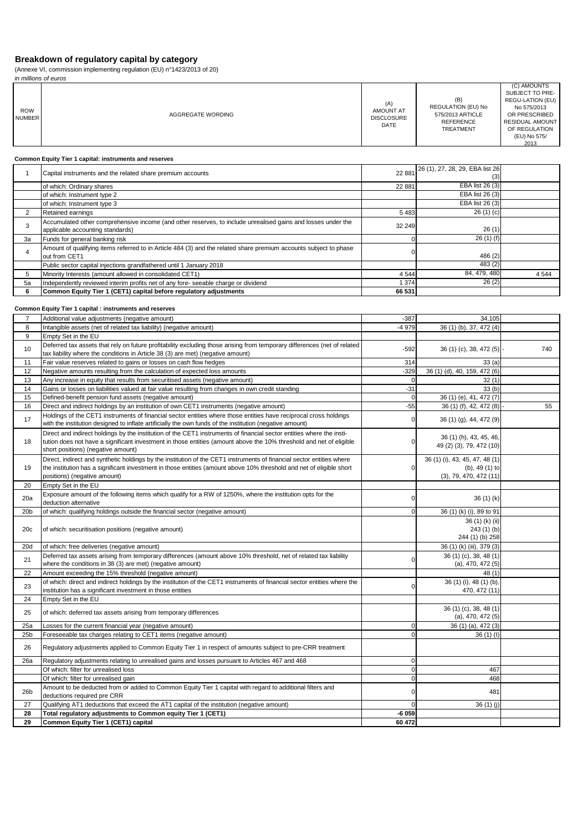(Annexe VI, commission implementing regulation (EU) n°1423/2013 of 20)

|                             | in millions of euros                                                                                                                                                                                                                                                               |                      |                                                                                       |                                                                                                                                                |  |
|-----------------------------|------------------------------------------------------------------------------------------------------------------------------------------------------------------------------------------------------------------------------------------------------------------------------------|----------------------|---------------------------------------------------------------------------------------|------------------------------------------------------------------------------------------------------------------------------------------------|--|
| <b>ROW</b><br><b>NUMBER</b> | <b>AMOUNT AT</b><br><b>AGGREGATE WORDING</b><br><b>DISCLOSURE</b>                                                                                                                                                                                                                  |                      | (B)<br>REGULATION (EU) No<br>575/2013 ARTICLE<br><b>REFERENCE</b><br><b>TREATMENT</b> | (C) AMOUNTS<br>SUBJECT TO PRE-<br>REGU-LATION (EU)<br>No 575/2013<br>OR PRESCRIBED<br>RESIDUAL AMOUNT<br>OF REGULATION<br>(EU) No 575/<br>2013 |  |
|                             | Common Equity Tier 1 capital: instruments and reserves                                                                                                                                                                                                                             |                      |                                                                                       |                                                                                                                                                |  |
| $\mathbf{1}$                | Capital instruments and the related share premium accounts                                                                                                                                                                                                                         | 22 881               | 26 (1), 27, 28, 29, EBA list 26                                                       |                                                                                                                                                |  |
|                             | of which: Ordinary shares                                                                                                                                                                                                                                                          | 22 881               | (3)<br>EBA list 26 (3)                                                                |                                                                                                                                                |  |
|                             | of which: Instrument type 2                                                                                                                                                                                                                                                        |                      | EBA list 26 (3)                                                                       |                                                                                                                                                |  |
| $\overline{2}$              | of which: Instrument type 3<br>Retained earnings                                                                                                                                                                                                                                   | 5 4 8 3              | EBA list 26 (3)<br>26(1)(c)                                                           |                                                                                                                                                |  |
| 3                           | Accumulated other comprehensive income (and other reserves, to include unrealised gains and losses under the                                                                                                                                                                       | 32 249               |                                                                                       |                                                                                                                                                |  |
|                             | applicable accounting standards)                                                                                                                                                                                                                                                   |                      | 26(1)<br>26 (1) (f)                                                                   |                                                                                                                                                |  |
| 3a                          | Funds for general banking risk<br>Amount of qualifying items referred to in Article 484 (3) and the related share premium accounts subject to phase                                                                                                                                | 0                    |                                                                                       |                                                                                                                                                |  |
| $\overline{4}$              | out from CET1                                                                                                                                                                                                                                                                      | 0                    | 486 (2)                                                                               |                                                                                                                                                |  |
| 5                           | Public sector capital injections grandfathered until 1 January 2018<br>Minority Interests (amount allowed in consolidated CET1)                                                                                                                                                    | 4 5 4 4              | 483 (2)<br>84, 479, 480                                                               | 4544                                                                                                                                           |  |
| 5a                          | Independently reviewed interim profits net of any fore- seeable charge or dividend                                                                                                                                                                                                 | 1 3 7 4              | 26(2)                                                                                 |                                                                                                                                                |  |
| 6                           | Common Equity Tier 1 (CET1) capital before regulatory adjustments                                                                                                                                                                                                                  | 66 531               |                                                                                       |                                                                                                                                                |  |
|                             | Common Equity Tier 1 capital : instruments and reserves                                                                                                                                                                                                                            |                      |                                                                                       |                                                                                                                                                |  |
| 7                           | Additional value adjustments (negative amount)                                                                                                                                                                                                                                     | $-387$               | 34,105                                                                                |                                                                                                                                                |  |
| 8                           | Intangible assets (net of related tax liability) (negative amount)                                                                                                                                                                                                                 | $-4979$              | 36 (1) (b), 37, 472 (4)                                                               |                                                                                                                                                |  |
| 9                           | Empty Set in the EU<br>Deferred tax assets that rely on future profitability excluding those arising from temporary differences (net of related                                                                                                                                    |                      |                                                                                       |                                                                                                                                                |  |
| 10                          | tax liability where the conditions in Article 38 (3) are met) (negative amount)                                                                                                                                                                                                    | $-592$               | 36 (1) (c), 38, 472 (5)                                                               | 740                                                                                                                                            |  |
| 11                          | Fair value reserves related to gains or losses on cash flow hedges                                                                                                                                                                                                                 | 314                  | 33(a)                                                                                 |                                                                                                                                                |  |
| 12                          | Negative amounts resulting from the calculation of expected loss amounts                                                                                                                                                                                                           | $-329$               | 36 (1) (d), 40, 159, 472 (6)                                                          |                                                                                                                                                |  |
| 13<br>14                    | Any increase in equity that results from securitised assets (negative amount)<br>Gains or losses on liabilities valued at fair value resulting from changes in own credit standing                                                                                                 | $\mathbf 0$<br>$-31$ | 32(1)<br>33(b)                                                                        |                                                                                                                                                |  |
| 15                          | Defined-benefit pension fund assets (negative amount)                                                                                                                                                                                                                              | $\mathbf 0$          | 36 (1) (e), 41, 472 (7)                                                               |                                                                                                                                                |  |
| 16                          | Direct and indirect holdings by an institution of own CET1 instruments (negative amount)                                                                                                                                                                                           | $-55$                | 36 (1) (f), 42, 472 (8)                                                               | 55                                                                                                                                             |  |
| 17                          | Holdings of the CET1 instruments of financial sector entities where those entities have reciprocal cross holdings<br>with the institution designed to inflate artificially the own funds of the institution (negative amount)                                                      | 0                    | 36 (1) (g), 44, 472 (9)                                                               |                                                                                                                                                |  |
| 18                          | Direct and indirect holdings by the institution of the CET1 instruments of financial sector entities where the insti-<br>tution does not have a significant investment in those entities (amount above the 10% threshold and net of eligible<br>short positions) (negative amount) | 0                    | 36 (1) (h), 43, 45, 46,<br>49 (2) (3), 79, 472 (10)                                   |                                                                                                                                                |  |
| 19                          | Direct, indirect and synthetic holdings by the institution of the CET1 instruments of financial sector entities where<br>the institution has a significant investment in those entities (amount above 10% threshold and net of eligible short<br>positions) (negative amount)      | 0                    | 36 (1) (i), 43, 45, 47, 48 (1)<br>$(b)$ , 49 $(1)$ to<br>(3), 79, 470, 472(11)        |                                                                                                                                                |  |
| 20                          | Empty Set in the EU                                                                                                                                                                                                                                                                |                      |                                                                                       |                                                                                                                                                |  |
| 20a                         | Exposure amount of the following items which qualify for a RW of 1250%, where the institution opts for the<br>deduction alternative                                                                                                                                                | 0                    | 36(1)(k)                                                                              |                                                                                                                                                |  |
| 20 <sub>b</sub>             | of which: qualifying holdings outside the financial sector (negative amount)                                                                                                                                                                                                       | $\mathbf 0$          | 36 (1) (k) (i), 89 to 91                                                              |                                                                                                                                                |  |
| 20c                         | of which: securitisation positions (negative amount)                                                                                                                                                                                                                               |                      | 36 (1) (k) (ii)<br>243(1)(b)                                                          |                                                                                                                                                |  |
|                             |                                                                                                                                                                                                                                                                                    |                      | 244 (1) (b) 258                                                                       |                                                                                                                                                |  |
| 20d                         | of which: free deliveries (negative amount)<br>Deferred tax assets arising from temporary differences (amount above 10% threshold, net of related tax liability                                                                                                                    |                      | 36 (1) (k) (iii), 379 (3)                                                             |                                                                                                                                                |  |
| 21                          | where the conditions in 38 (3) are met) (negative amount)                                                                                                                                                                                                                          | 0                    | 36 (1) (c), 38, 48 (1)<br>(a), 470, 472(5)                                            |                                                                                                                                                |  |
| 22                          | Amount exceeding the 15% threshold (negative amount)                                                                                                                                                                                                                               |                      | 48 (1)                                                                                |                                                                                                                                                |  |
| 23                          | of which: direct and indirect holdings by the institution of the CET1 instruments of financial sector entities where the<br>institution has a significant investment in those entities                                                                                             | 0                    | 36 (1) (i), 48 (1) (b),<br>470, 472 (11)                                              |                                                                                                                                                |  |
| 24                          | Empty Set in the EU                                                                                                                                                                                                                                                                |                      |                                                                                       |                                                                                                                                                |  |
| 25                          | of which: deferred tax assets arising from temporary differences                                                                                                                                                                                                                   |                      | 36 (1) (c), 38, 48 (1)<br>(a), 470, 472(5)                                            |                                                                                                                                                |  |
| 25a                         | Losses for the current financial year (negative amount)                                                                                                                                                                                                                            | 0                    | 36 (1) (a), 472 (3)                                                                   |                                                                                                                                                |  |
| 25b                         | Foreseeable tax charges relating to CET1 items (negative amount)                                                                                                                                                                                                                   | $\mathbf 0$          | 36 (1) (l)                                                                            |                                                                                                                                                |  |
| 26                          | Regulatory adjustments applied to Common Equity Tier 1 in respect of amounts subject to pre-CRR treatment                                                                                                                                                                          | $\mathbf 0$          |                                                                                       |                                                                                                                                                |  |
| 26a                         | Regulatory adjustments relating to unrealised gains and losses pursuant to Articles 467 and 468<br>Of which: filter for unrealised loss                                                                                                                                            | $\mathbf 0$          | 467                                                                                   |                                                                                                                                                |  |
|                             | Of which: filter for unrealised gain                                                                                                                                                                                                                                               | $\mathbf 0$          | 468                                                                                   |                                                                                                                                                |  |
| 26 <sub>b</sub>             | Amount to be deducted from or added to Common Equity Tier 1 capital with regard to additional filters and<br>deductions required pre CRR                                                                                                                                           | 0                    | 481                                                                                   |                                                                                                                                                |  |
| 27                          | Qualifying AT1 deductions that exceed the AT1 capital of the institution (negative amount)                                                                                                                                                                                         | 0                    | 36(1)(j)                                                                              |                                                                                                                                                |  |
| 28<br>29                    | Total regulatory adjustments to Common equity Tier 1 (CET1)<br>Common Equity Tier 1 (CET1) capital                                                                                                                                                                                 | $-6059$<br>60 472    |                                                                                       |                                                                                                                                                |  |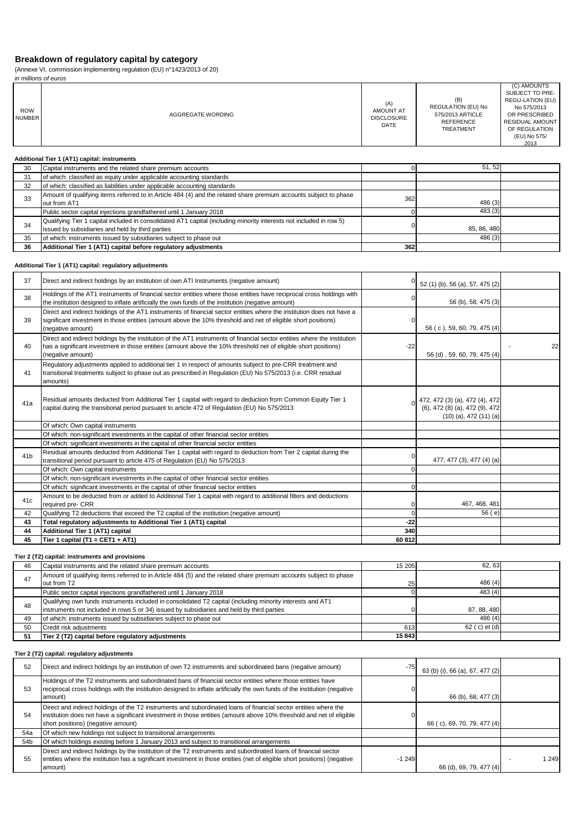(Annexe VI, commission implementing regulation (EU) n°1423/2013 of 20)

|                             | (Annexe VI, commission implementing regulation (EU) $n^{\circ}$ 1423/2013 of 20)                                                                                                                                                                                  |                                                      |                                                                                                |                                                                                  |
|-----------------------------|-------------------------------------------------------------------------------------------------------------------------------------------------------------------------------------------------------------------------------------------------------------------|------------------------------------------------------|------------------------------------------------------------------------------------------------|----------------------------------------------------------------------------------|
|                             | in millions of euros                                                                                                                                                                                                                                              |                                                      | (B)                                                                                            | (C) AMOUNTS<br>SUBJECT TO PRE-<br>REGU-LATION (EU)                               |
| <b>ROW</b><br><b>NUMBER</b> | AGGREGATE WORDING                                                                                                                                                                                                                                                 | (A)<br>AMOUNT AT<br><b>DISCLOSURE</b><br><b>DATE</b> | <b>REGULATION (EU) No</b><br>575/2013 ARTICLE<br><b>REFERENCE</b><br><b>TREATMENT</b>          | No 575/2013<br>OR PRESCRIBED<br>RESIDUAL AMOUNT<br>OF REGULATION<br>(EU) No 575/ |
|                             |                                                                                                                                                                                                                                                                   |                                                      |                                                                                                | 2013                                                                             |
|                             | Additional Tier 1 (AT1) capital: instruments                                                                                                                                                                                                                      |                                                      |                                                                                                |                                                                                  |
| 30                          | Capital instruments and the related share premium accounts                                                                                                                                                                                                        | $\mathbf{0}$                                         | 51, 52                                                                                         |                                                                                  |
| 31                          | of which: classified as equity under applicable accounting standards                                                                                                                                                                                              |                                                      |                                                                                                |                                                                                  |
| 32                          | of which: classified as liabilities under applicable accounting standards                                                                                                                                                                                         |                                                      |                                                                                                |                                                                                  |
| 33                          | Amount of qualifying items referred to in Article 484 (4) and the related share premium accounts subject to phase<br>out from AT1                                                                                                                                 | 362                                                  | 486 (3)                                                                                        |                                                                                  |
|                             | Public sector capital injections grandfathered until 1 January 2018                                                                                                                                                                                               | $\mathbf 0$                                          | 483(3)                                                                                         |                                                                                  |
| 34                          | Qualifying Tier 1 capital included in consolidated AT1 capital (including minority interests not included in row 5)<br>issued by subsidiaries and held by third parties                                                                                           | $\Omega$                                             | 85, 86, 480                                                                                    |                                                                                  |
| 35                          | of which: instruments issued by subsidiaries subject to phase out                                                                                                                                                                                                 |                                                      | 486 (3)                                                                                        |                                                                                  |
| 36                          | Additional Tier 1 (AT1) capital before regulatory adjustments                                                                                                                                                                                                     | 362                                                  |                                                                                                |                                                                                  |
|                             | Additional Tier 1 (AT1) capital: regulatory adjustments                                                                                                                                                                                                           |                                                      |                                                                                                |                                                                                  |
| 37                          | Direct and indirect holdings by an institution of own ATI Instruments (negative amount)                                                                                                                                                                           | $\Omega$                                             | 52 (1) (b), 56 (a), 57, 475 (2)                                                                |                                                                                  |
| 38                          | Holdings of the AT1 instruments of financial sector entities where those entities have reciprocal cross holdings with<br>the institution designed to inflate artificially the own funds of the institution (negative amount)                                      |                                                      | 56 (b), 58, 475 (3)                                                                            |                                                                                  |
| 39                          | Direct and indirect holdings of the AT1 instruments of financial sector entities where the institution does not have a<br>significant investment in those entities (amount above the 10% threshold and net of eligible short positions)<br>(negative amount)      | $\Omega$                                             | 56 (c), 59, 60, 79, 475 (4)                                                                    |                                                                                  |
| 40                          | Direct and indirect holdings by the institution of the AT1 instruments of financial sector entities where the institution<br>has a significant investment in those entities (amount above the 10% threshold net of eligible short positions)<br>(negative amount) | $-22$                                                | 56 (d), 59, 60, 79, 475 (4)                                                                    | 22                                                                               |
| 41                          | Requlatory adjustments applied to additional tier 1 in respect of amounts subject to pre-CRR treatment and<br>transitional treatments subject to phase out as prescribed in Regulation (EU) No 575/2013 (i.e. CRR residual<br>amounts)                            |                                                      |                                                                                                |                                                                                  |
| 41a                         | Residual amounts deducted from Additional Tier 1 capital with regard to deduction from Common Equity Tier 1<br>capital during the transitional period pursuant to article 472 of Regulation (EU) No 575/2013                                                      |                                                      | 472, 472 (3) (a), 472 (4), 472<br>(6), 472 (8) (a), 472 (9), 472<br>$(10)$ (a), 472 $(11)$ (a) |                                                                                  |
|                             | Of which: Own capital instruments                                                                                                                                                                                                                                 |                                                      |                                                                                                |                                                                                  |
|                             | Of which: non-significant investments in the capital of other financial sector entities                                                                                                                                                                           |                                                      |                                                                                                |                                                                                  |
|                             | Of which: significant investments in the capital of other financial sector entities                                                                                                                                                                               |                                                      |                                                                                                |                                                                                  |
| 41 <sub>b</sub>             | Residual amounts deducted from Additional Tier 1 capital with regard to deduction from Tier 2 capital during the<br>transitional period pursuant to article 475 of Regulation (EU) No 575/2013                                                                    | $\Omega$                                             | 477, 477 (3), 477 (4) (a)                                                                      |                                                                                  |
|                             | Of which: Own capital instruments                                                                                                                                                                                                                                 | $\Omega$                                             |                                                                                                |                                                                                  |
|                             | Of which: non-significant investments in the capital of other financial sector entities                                                                                                                                                                           |                                                      |                                                                                                |                                                                                  |

Of which: significant investments in the capital of other financial sector entities 0 Amount to be deducted from or added to Additional Tier 1 capital with regard to additional filters and deductions required pre- CRR and the reductions that exceed the T2 capital of the institution (negative amount) 0 467, 468, 481<br>Qualifying T2 deductions that exceed the T2 capital of the institution (negative amount) 0 56 (e) 42 Qualifying T2 deductions that exceed the T2 capital of the institution (negative amount) **43 Total regulatory adjustments to Additional Tier 1 (AT1) capital -22 44 Additional Tier 1 (AT1) capital 340 45 Tier 1 capital (T1 = CET1 + AT1) 60 812**

**Tier 2 (T2) capital: instruments and provisions**

| 46 | Capital instruments and the related share premium accounts                                                        | 15 205 | 62.63           |  |
|----|-------------------------------------------------------------------------------------------------------------------|--------|-----------------|--|
| 47 | Amount of qualifying items referred to in Article 484 (5) and the related share premium accounts subject to phase |        |                 |  |
|    | out from T2                                                                                                       | 25     | 486(4)          |  |
|    | Public sector capital injections grandfathered until 1 January 2018                                               |        | 483(4)          |  |
| 48 | Qualifying own funds instruments included in consolidated T2 capital (including minority interests and AT1        |        |                 |  |
|    | instruments not included in rows 5 or 34) issued by subsidiaries and held by third parties                        |        | 87, 88, 480     |  |
| 49 | of which: instruments issued by subsidiaries subject to phase out                                                 |        | 486(4)          |  |
| 50 | Credit risk adjustments                                                                                           | 613    | $62$ (c) et (d) |  |
| 51 | Tier 2 (T2) capital before regulatory adjustments                                                                 | 15843  |                 |  |

### **Tier 2 (T2) capital: regulatory adjustments**

| 52  | Direct and indirect holdings by an institution of own T2 instruments and subordinated bans (negative amount)                                                                                                                                                                   | $-75$   | 63 (b) (i), 66 (a), 67, 477 (2) |     |
|-----|--------------------------------------------------------------------------------------------------------------------------------------------------------------------------------------------------------------------------------------------------------------------------------|---------|---------------------------------|-----|
| 53  | Holdings of the T2 instruments and subordinated bans of financial sector entities where those entities have<br>reciprocal cross holdings with the institution designed to inflate artificially the own funds of the institution (negative<br>amount)                           |         | 66 (b), 68, 477 (3)             |     |
| 54  | Direct and indirect holdings of the T2 instruments and subordinated loans of financial sector entities where the<br>institution does not have a significant investment in those entities (amount above 10% threshold and net of eligible<br>short positions) (negative amount) |         | 66 (c), 69, 70, 79, 477 (4)     |     |
| 54a | Of which new holdings not subject to transitional arrangements                                                                                                                                                                                                                 |         |                                 |     |
| 54b | Of which holdings existing before 1 January 2013 and subject to transitional arrangements                                                                                                                                                                                      |         |                                 |     |
| 55  | Direct and indirect holdings by the institution of the T2 instruments and subordinated loans of financial sector<br>entities where the institution has a significant investment in those entities (net of eligible short positions) (negative<br>amount)                       | $-1249$ | 66 (d), 69, 79, 477 (4)         | 249 |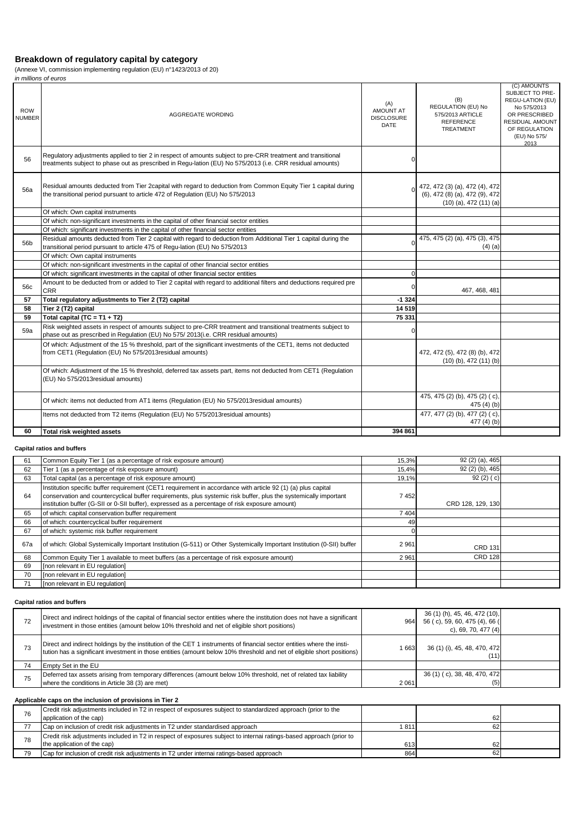(Annexe VI, commission implementing regulation (EU) n°1423/2013 of 20)

|                             | in millions of euros                                                                                                                                                                                                      |                                               |                                                                                                |                                                                                                                                                |
|-----------------------------|---------------------------------------------------------------------------------------------------------------------------------------------------------------------------------------------------------------------------|-----------------------------------------------|------------------------------------------------------------------------------------------------|------------------------------------------------------------------------------------------------------------------------------------------------|
| <b>ROW</b><br><b>NUMBER</b> | AGGREGATE WORDING                                                                                                                                                                                                         | (A)<br>AMOUNT AT<br><b>DISCLOSURE</b><br>DATE | (B)<br>REGULATION (EU) No<br>575/2013 ARTICLE<br><b>REFERENCE</b><br>TREATMENT                 | (C) AMOUNTS<br>SUBJECT TO PRE-<br>REGU-LATION (EU)<br>No 575/2013<br>OR PRESCRIBED<br>RESIDUAL AMOUNT<br>OF REGULATION<br>(EU) No 575/<br>2013 |
| 56                          | Regulatory adjustments applied to tier 2 in respect of amounts subject to pre-CRR treatment and transitional<br>treatments subject to phase out as prescribed in Regu-lation (EU) No 575/2013 (i.e. CRR residual amounts) | 0                                             |                                                                                                |                                                                                                                                                |
| 56a                         | Residual amounts deducted from Tier 2capital with regard to deduction from Common Equity Tier 1 capital during<br>the transitional period pursuant to article 472 of Regulation (EU) No 575/2013                          |                                               | 472, 472 (3) (a), 472 (4), 472<br>(6), 472 (8) (a), 472 (9), 472<br>$(10)$ (a), 472 $(11)$ (a) |                                                                                                                                                |
|                             | Of which: Own capital instruments                                                                                                                                                                                         |                                               |                                                                                                |                                                                                                                                                |
|                             | Of which: non-significant investments in the capital of other financial sector entities                                                                                                                                   |                                               |                                                                                                |                                                                                                                                                |
|                             | Of which: significant investments in the capital of other financial sector entities                                                                                                                                       |                                               |                                                                                                |                                                                                                                                                |
| 56b                         | Residual amounts deducted from Tier 2 capital with regard to deduction from Additional Tier 1 capital during the<br>transitional period pursuant to article 475 of Regu-lation (EU) No 575/2013                           | O                                             | 475, 475 (2) (a), 475 (3), 475<br>$(4)$ (a)                                                    |                                                                                                                                                |
|                             | Of which: Own capital instruments                                                                                                                                                                                         |                                               |                                                                                                |                                                                                                                                                |
|                             | Of which: non-significant investments in the capital of other financial sector entities                                                                                                                                   |                                               |                                                                                                |                                                                                                                                                |
|                             | Of which: significant investments in the capital of other financial sector entities                                                                                                                                       | $\Omega$                                      |                                                                                                |                                                                                                                                                |
| 56c                         | Amount to be deducted from or added to Tier 2 capital with regard to additional filters and deductions required pre<br><b>CRR</b>                                                                                         | $\mathbf 0$                                   | 467, 468, 481                                                                                  |                                                                                                                                                |
| 57                          | Total regulatory adjustments to Tier 2 (T2) capital                                                                                                                                                                       | $-1324$                                       |                                                                                                |                                                                                                                                                |
| 58                          | Tier 2 (T2) capital                                                                                                                                                                                                       | 14 5 19                                       |                                                                                                |                                                                                                                                                |
| 59                          | Total capital (TC = T1 + T2)                                                                                                                                                                                              | 75 331                                        |                                                                                                |                                                                                                                                                |
| 59a                         | Risk weighted assets in respect of amounts subject to pre-CRR treatment and transitional treatments subject to<br>phase out as prescribed in Regulation (EU) No 575/2013(i.e. CRR residual amounts)                       | $\Omega$                                      |                                                                                                |                                                                                                                                                |
|                             | Of which: Adjustment of the 15 % threshold, part of the significant investments of the CET1, items not deducted<br>from CET1 (Regulation (EU) No 575/2013 residual amounts)                                               |                                               | 472, 472 (5), 472 (8) (b), 472<br>$(10)$ (b), 472 $(11)$ (b)                                   |                                                                                                                                                |
|                             | Of which: Adjustment of the 15 % threshold, deferred tax assets part, items not deducted from CET1 (Regulation<br>(EU) No 575/2013residual amounts)                                                                       |                                               |                                                                                                |                                                                                                                                                |
|                             | Of which: items not deducted from AT1 items (Regulation (EU) No 575/2013 residual amounts)                                                                                                                                |                                               | 475, 475 (2) (b), 475 (2) (c),<br>475 (4) (b)                                                  |                                                                                                                                                |
|                             | Items not deducted from T2 items (Regulation (EU) No 575/2013 residual amounts)                                                                                                                                           |                                               | 477, 477 (2) (b), 477 (2) (c),<br>477 $(4)$ $(b)$                                              |                                                                                                                                                |
| 60                          | <b>Total risk weighted assets</b>                                                                                                                                                                                         | 394 861                                       |                                                                                                |                                                                                                                                                |

### **Capital ratios and buffers**

| 61  | Common Equity Tier 1 (as a percentage of risk exposure amount)                                                                                                                                                                                                                                                                     | 15,3% | 92 (2) (a), 465   |  |
|-----|------------------------------------------------------------------------------------------------------------------------------------------------------------------------------------------------------------------------------------------------------------------------------------------------------------------------------------|-------|-------------------|--|
| 62  | Tier 1 (as a percentage of risk exposure amount)                                                                                                                                                                                                                                                                                   | 15,4% | 92 (2) (b), 465   |  |
| 63  | Total capital (as a percentage of risk exposure amount)                                                                                                                                                                                                                                                                            | 19,1% | 92(2)(c)          |  |
| 64  | Institution specific buffer requirement (CET1 requirement in accordance with article 92 (1) (a) plus capital<br>conservation and countercyclical buffer requirements, plus systemic risk buffer, plus the systemically important<br>institution buffer (G-SII or 0-SII buffer), expressed as a percentage of risk exposure amount) | 7452  | CRD 128, 129, 130 |  |
| 65  | of which: capital conservation buffer requirement                                                                                                                                                                                                                                                                                  | 7404  |                   |  |
| 66  | of which: countercyclical buffer requirement                                                                                                                                                                                                                                                                                       | 49    |                   |  |
| 67  | of which: systemic risk buffer requirement                                                                                                                                                                                                                                                                                         |       |                   |  |
| 67a | of which: Global Systemically Important Institution (G-511) or Other Systemically Important Institution (0-SII) buffer                                                                                                                                                                                                             | 2961  | <b>CRD 131</b>    |  |
| 68  | Common Equity Tier 1 available to meet buffers (as a percentage of risk exposure amount)                                                                                                                                                                                                                                           | 2961  | <b>CRD 128</b>    |  |
| 69  | [non relevant in EU regulation]                                                                                                                                                                                                                                                                                                    |       |                   |  |
| 70  | [non relevant in EU regulation]                                                                                                                                                                                                                                                                                                    |       |                   |  |
| 71  | [non relevant in EU regulation]                                                                                                                                                                                                                                                                                                    |       |                   |  |

### **Capital ratios and buffers**

| 72 | Direct and indirect holdings of the capital of financial sector entities where the institution does not have a significant<br>investment in those entities (amount below 10% threshold and net of eligible short positions)                      | 964     | 36 (1) (h), 45, 46, 472 (10),<br>56 (c), 59, 60, 475 (4), 66 (<br>c), 69, 70, 477 $(4)$ |  |
|----|--------------------------------------------------------------------------------------------------------------------------------------------------------------------------------------------------------------------------------------------------|---------|-----------------------------------------------------------------------------------------|--|
| 73 | Direct and indirect holdings by the institution of the CET 1 instruments of financial sector entities where the insti-<br>tution has a significant investment in those entities (amount below 10% threshold and net of eligible short positions) | 1663    | 36 (1) (i), 45, 48, 470, 472<br>(11)                                                    |  |
| 74 | Empty Set in the EU                                                                                                                                                                                                                              |         |                                                                                         |  |
| 75 | Deferred tax assets arising from temporary differences (amount below 10% threshold, net of related tax liability<br>where the conditions in Article 38 (3) are met)                                                                              | 2 0 6 1 | 36 (1) (c), 38, 48, 470, 472<br>(5)                                                     |  |

### **Applicable caps on the inclusion of provisions in Tier 2**

| 76 | Credit risk adjustments included in T2 in respect of exposures subject to standardized approach (prior to the       |      |    |  |
|----|---------------------------------------------------------------------------------------------------------------------|------|----|--|
|    | application of the cap)                                                                                             |      | 62 |  |
|    | Cap on inclusion of credit risk adjustments in T2 under standardised approach                                       | 1811 | 62 |  |
| 78 | Credit risk adjustments included in T2 in respect of exposures subject to internai ratings-based approach (prior to |      |    |  |
|    | the application of the cap)                                                                                         | 613  | 62 |  |
| 79 | Cap for inclusion of credit risk adjustments in T2 under internal ratings-based approach                            | 864  | 62 |  |